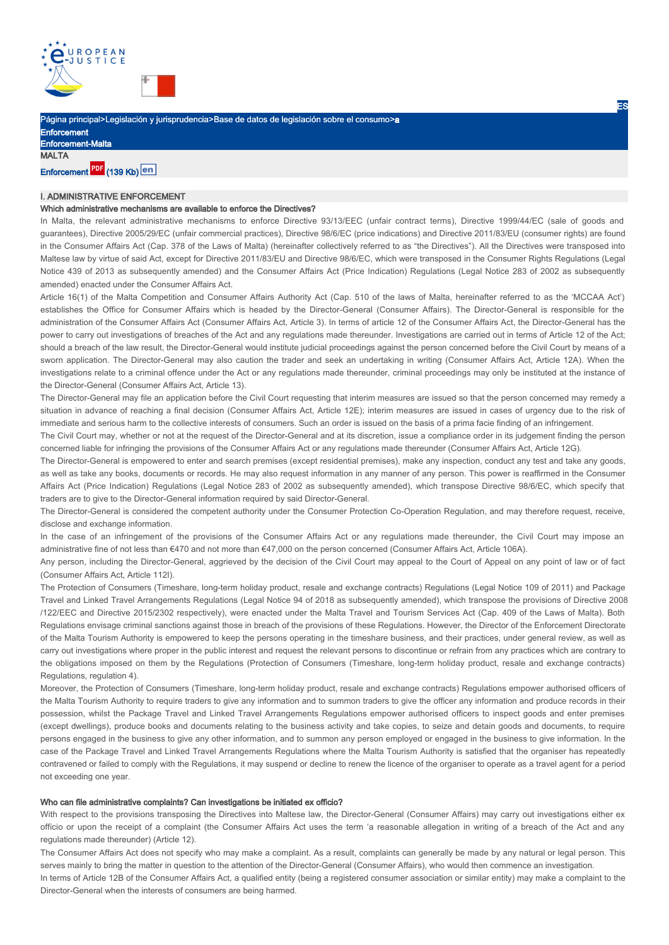

Página principal>Legislación y jurisprudencia>Base de datos de legislación sobre el consumo>a

| <b>Enforcement</b>       |
|--------------------------|
| <b>Enforcement-Malta</b> |
| MALTA                    |

# Enforcement PDF (139 Kb) en

# I. ADMINISTRATIVE ENFORCEMENT

## Which administrative mechanisms are available to enforce the Directives?

In Malta, the relevant administrative mechanisms to enforce Directive 93/13/EEC (unfair contract terms), Directive 1999/44/EC (sale of goods and guarantees), Directive 2005/29/EC (unfair commercial practices), Directive 98/6/EC (price indications) and Directive 2011/83/EU (consumer rights) are found in the Consumer Affairs Act (Cap. 378 of the Laws of Malta) (hereinafter collectively referred to as "the Directives"). All the Directives were transposed into Maltese law by virtue of said Act, except for Directive 2011/83/EU and Directive 98/6/EC, which were transposed in the Consumer Rights Regulations (Legal Notice 439 of 2013 as subsequently amended) and the Consumer Affairs Act (Price Indication) Regulations (Legal Notice 283 of 2002 as subsequently amended) enacted under the Consumer Affairs Act.

Article 16(1) of the Malta Competition and Consumer Affairs Authority Act (Cap. 510 of the laws of Malta, hereinafter referred to as the 'MCCAA Act') establishes the Office for Consumer Affairs which is headed by the Director-General (Consumer Affairs). The Director-General is responsible for the administration of the Consumer Affairs Act (Consumer Affairs Act, Article 3). In terms of article 12 of the Consumer Affairs Act, the Director-General has the power to carry out investigations of breaches of the Act and any regulations made thereunder. Investigations are carried out in terms of Article 12 of the Act; should a breach of the law result, the Director-General would institute judicial proceedings against the person concerned before the Civil Court by means of a sworn application. The Director-General may also caution the trader and seek an undertaking in writing (Consumer Affairs Act, Article 12A). When the investigations relate to a criminal offence under the Act or any regulations made thereunder, criminal proceedings may only be instituted at the instance of the Director-General (Consumer Affairs Act, Article 13).

The Director-General may file an application before the Civil Court requesting that interim measures are issued so that the person concerned may remedy a situation in advance of reaching a final decision (Consumer Affairs Act, Article 12E); interim measures are issued in cases of urgency due to the risk of immediate and serious harm to the collective interests of consumers. Such an order is issued on the basis of a prima facie finding of an infringement.

The Civil Court may, whether or not at the request of the Director-General and at its discretion, issue a compliance order in its judgement finding the person concerned liable for infringing the provisions of the Consumer Affairs Act or any regulations made thereunder (Consumer Affairs Act, Article 12G).

The Director-General is empowered to enter and search premises (except residential premises), make any inspection, conduct any test and take any goods, as well as take any books, documents or records. He may also request information in any manner of any person. This power is reaffirmed in the Consumer Affairs Act (Price Indication) Regulations (Legal Notice 283 of 2002 as subsequently amended), which transpose Directive 98/6/EC, which specify that traders are to give to the Director-General information required by said Director-General.

The Director-General is considered the competent authority under the Consumer Protection Co-Operation Regulation, and may therefore request, receive, disclose and exchange information.

In the case of an infringement of the provisions of the Consumer Affairs Act or any regulations made thereunder, the Civil Court may impose an administrative fine of not less than €470 and not more than €47,000 on the person concerned (Consumer Affairs Act, Article 106A).

Any person, including the Director-General, aggrieved by the decision of the Civil Court may appeal to the Court of Appeal on any point of law or of fact (Consumer Affairs Act, Article 112I).

The Protection of Consumers (Timeshare, long-term holiday product, resale and exchange contracts) Regulations (Legal Notice 109 of 2011) and Package Travel and Linked Travel Arrangements Regulations (Legal Notice 94 of 2018 as subsequently amended), which transpose the provisions of Directive 2008 /122/EEC and Directive 2015/2302 respectively), were enacted under the Malta Travel and Tourism Services Act (Cap. 409 of the Laws of Malta). Both Regulations envisage criminal sanctions against those in breach of the provisions of these Regulations. However, the Director of the Enforcement Directorate of the Malta Tourism Authority is empowered to keep the persons operating in the timeshare business, and their practices, under general review, as well as carry out investigations where proper in the public interest and request the relevant persons to discontinue or refrain from any practices which are contrary to the obligations imposed on them by the Regulations (Protection of Consumers (Timeshare, long-term holiday product, resale and exchange contracts) Regulations, regulation 4).

Moreover, the Protection of Consumers (Timeshare, long-term holiday product, resale and exchange contracts) Regulations empower authorised officers of the Malta Tourism Authority to require traders to give any information and to summon traders to give the officer any information and produce records in their possession, whilst the Package Travel and Linked Travel Arrangements Regulations empower authorised officers to inspect goods and enter premises (except dwellings), produce books and documents relating to the business activity and take copies, to seize and detain goods and documents, to require persons engaged in the business to give any other information, and to summon any person employed or engaged in the business to give information. In the case of the Package Travel and Linked Travel Arrangements Regulations where the Malta Tourism Authority is satisfied that the organiser has repeatedly contravened or failed to comply with the Regulations, it may suspend or decline to renew the licence of the organiser to operate as a travel agent for a period not exceeding one year.

#### Who can file administrative complaints? Can investigations be initiated ex officio?

With respect to the provisions transposing the Directives into Maltese law, the Director-General (Consumer Affairs) may carry out investigations either ex officio or upon the receipt of a complaint (the Consumer Affairs Act uses the term 'a reasonable allegation in writing of a breach of the Act and any regulations made thereunder) (Article 12).

The Consumer Affairs Act does not specify who may make a complaint. As a result, complaints can generally be made by any natural or legal person. This serves mainly to bring the matter in question to the attention of the Director-General (Consumer Affairs), who would then commence an investigation.

In terms of Article 12B of the Consumer Affairs Act, a qualified entity (being a registered consumer association or similar entity) may make a complaint to the Director-General when the interests of consumers are being harmed.

ES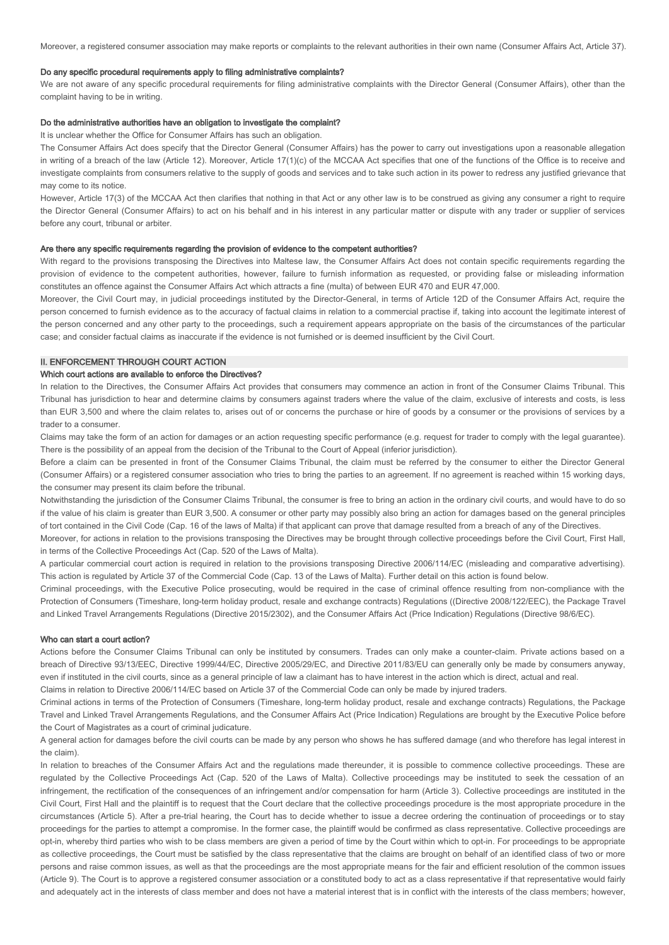Moreover, a registered consumer association may make reports or complaints to the relevant authorities in their own name (Consumer Affairs Act, Article 37).

#### Do any specific procedural requirements apply to filing administrative complaints?

We are not aware of any specific procedural requirements for filing administrative complaints with the Director General (Consumer Affairs), other than the complaint having to be in writing.

#### Do the administrative authorities have an obligation to investigate the complaint?

It is unclear whether the Office for Consumer Affairs has such an obligation.

The Consumer Affairs Act does specify that the Director General (Consumer Affairs) has the power to carry out investigations upon a reasonable allegation in writing of a breach of the law (Article 12). Moreover, Article 17(1)(c) of the MCCAA Act specifies that one of the functions of the Office is to receive and investigate complaints from consumers relative to the supply of goods and services and to take such action in its power to redress any justified grievance that may come to its notice.

However, Article 17(3) of the MCCAA Act then clarifies that nothing in that Act or any other law is to be construed as giving any consumer a right to require the Director General (Consumer Affairs) to act on his behalf and in his interest in any particular matter or dispute with any trader or supplier of services before any court, tribunal or arbiter.

#### Are there any specific requirements regarding the provision of evidence to the competent authorities?

With regard to the provisions transposing the Directives into Maltese law, the Consumer Affairs Act does not contain specific requirements regarding the provision of evidence to the competent authorities, however, failure to furnish information as requested, or providing false or misleading information constitutes an offence against the Consumer Affairs Act which attracts a fine (multa) of between EUR 470 and EUR 47,000.

Moreover, the Civil Court may, in judicial proceedings instituted by the Director-General, in terms of Article 12D of the Consumer Affairs Act, require the person concerned to furnish evidence as to the accuracy of factual claims in relation to a commercial practise if, taking into account the legitimate interest of the person concerned and any other party to the proceedings, such a requirement appears appropriate on the basis of the circumstances of the particular case; and consider factual claims as inaccurate if the evidence is not furnished or is deemed insufficient by the Civil Court.

## **II. ENFORCEMENT THROUGH COURT ACTION**

## Which court actions are available to enforce the Directives?

In relation to the Directives, the Consumer Affairs Act provides that consumers may commence an action in front of the Consumer Claims Tribunal. This Tribunal has jurisdiction to hear and determine claims by consumers against traders where the value of the claim, exclusive of interests and costs, is less than EUR 3,500 and where the claim relates to, arises out of or concerns the purchase or hire of goods by a consumer or the provisions of services by a trader to a consumer.

Claims may take the form of an action for damages or an action requesting specific performance (e.g. request for trader to comply with the legal guarantee). There is the possibility of an appeal from the decision of the Tribunal to the Court of Appeal (inferior jurisdiction).

Before a claim can be presented in front of the Consumer Claims Tribunal, the claim must be referred by the consumer to either the Director General (Consumer Affairs) or a registered consumer association who tries to bring the parties to an agreement. If no agreement is reached within 15 working days, the consumer may present its claim before the tribunal.

Notwithstanding the jurisdiction of the Consumer Claims Tribunal, the consumer is free to bring an action in the ordinary civil courts, and would have to do so if the value of his claim is greater than EUR 3,500. A consumer or other party may possibly also bring an action for damages based on the general principles of tort contained in the Civil Code (Cap. 16 of the laws of Malta) if that applicant can prove that damage resulted from a breach of any of the Directives.

Moreover, for actions in relation to the provisions transposing the Directives may be brought through collective proceedings before the Civil Court, First Hall, in terms of the Collective Proceedings Act (Cap. 520 of the Laws of Malta).

A particular commercial court action is required in relation to the provisions transposing Directive 2006/114/EC (misleading and comparative advertising). This action is regulated by Article 37 of the Commercial Code (Cap. 13 of the Laws of Malta). Further detail on this action is found below.

Criminal proceedings, with the Executive Police prosecuting, would be required in the case of criminal offence resulting from non-compliance with the Protection of Consumers (Timeshare, long-term holiday product, resale and exchange contracts) Regulations ((Directive 2008/122/EEC), the Package Travel and Linked Travel Arrangements Regulations (Directive 2015/2302), and the Consumer Affairs Act (Price Indication) Regulations (Directive 98/6/EC).

#### Who can start a court action?

Actions before the Consumer Claims Tribunal can only be instituted by consumers. Trades can only make a counter-claim. Private actions based on a breach of Directive 93/13/EEC, Directive 1999/44/EC, Directive 2005/29/EC, and Directive 2011/83/EU can generally only be made by consumers anyway, even if instituted in the civil courts, since as a general principle of law a claimant has to have interest in the action which is direct, actual and real.

Claims in relation to Directive 2006/114/EC based on Article 37 of the Commercial Code can only be made by injured traders.

Criminal actions in terms of the Protection of Consumers (Timeshare, long-term holiday product, resale and exchange contracts) Regulations, the Package Travel and Linked Travel Arrangements Regulations, and the Consumer Affairs Act (Price Indication) Regulations are brought by the Executive Police before the Court of Magistrates as a court of criminal judicature.

A general action for damages before the civil courts can be made by any person who shows he has suffered damage (and who therefore has legal interest in the claim).

In relation to breaches of the Consumer Affairs Act and the regulations made thereunder, it is possible to commence collective proceedings. These are regulated by the Collective Proceedings Act (Cap. 520 of the Laws of Malta). Collective proceedings may be instituted to seek the cessation of an infringement, the rectification of the consequences of an infringement and/or compensation for harm (Article 3). Collective proceedings are instituted in the Civil Court, First Hall and the plaintiff is to request that the Court declare that the collective proceedings procedure is the most appropriate procedure in the circumstances (Article 5). After a pre-trial hearing, the Court has to decide whether to issue a decree ordering the continuation of proceedings or to stay proceedings for the parties to attempt a compromise. In the former case, the plaintiff would be confirmed as class representative. Collective proceedings are opt-in, whereby third parties who wish to be class members are given a period of time by the Court within which to opt-in. For proceedings to be appropriate as collective proceedings, the Court must be satisfied by the class representative that the claims are brought on behalf of an identified class of two or more persons and raise common issues, as well as that the proceedings are the most appropriate means for the fair and efficient resolution of the common issues (Article 9). The Court is to approve a registered consumer association or a constituted body to act as a class representative if that representative would fairly and adequately act in the interests of class member and does not have a material interest that is in conflict with the interests of the class members; however,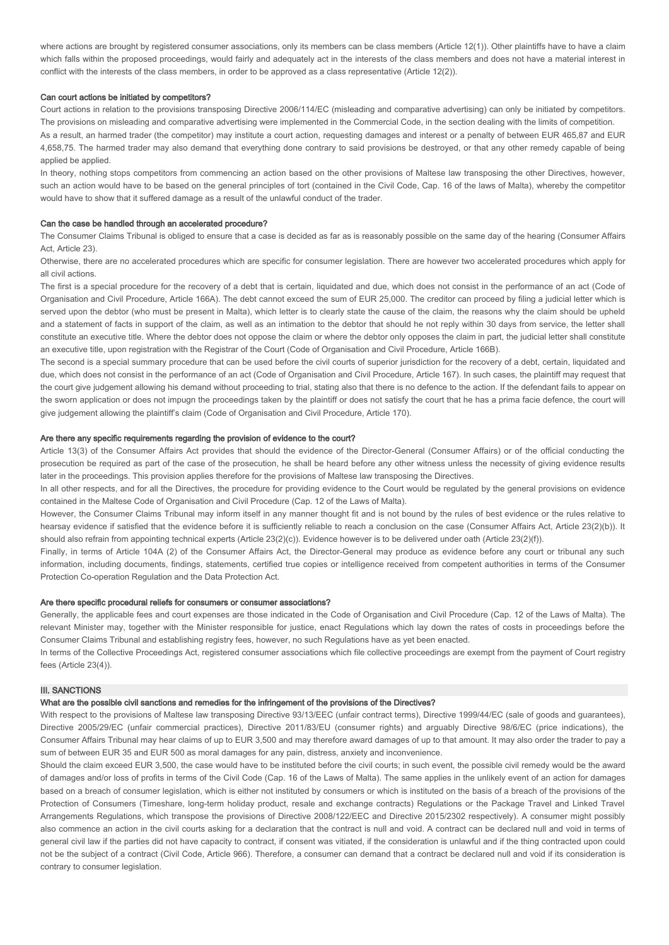where actions are brought by registered consumer associations, only its members can be class members (Article 12(1)). Other plaintiffs have to have a claim which falls within the proposed proceedings, would fairly and adequately act in the interests of the class members and does not have a material interest in conflict with the interests of the class members, in order to be approved as a class representative (Article 12(2)).

#### Can court actions be initiated by competitors?

Court actions in relation to the provisions transposing Directive 2006/114/EC (misleading and comparative advertising) can only be initiated by competitors. The provisions on misleading and comparative advertising were implemented in the Commercial Code, in the section dealing with the limits of competition. As a result, an harmed trader (the competitor) may institute a court action, requesting damages and interest or a penalty of between EUR 465,87 and EUR 4,658,75. The harmed trader may also demand that everything done contrary to said provisions be destroyed, or that any other remedy capable of being applied be applied.

In theory, nothing stops competitors from commencing an action based on the other provisions of Maltese law transposing the other Directives, however, such an action would have to be based on the general principles of tort (contained in the Civil Code, Cap. 16 of the laws of Malta), whereby the competitor would have to show that it suffered damage as a result of the unlawful conduct of the trader.

### Can the case be handled through an accelerated procedure?

The Consumer Claims Tribunal is obliged to ensure that a case is decided as far as is reasonably possible on the same day of the hearing (Consumer Affairs Act, Article 23).

Otherwise, there are no accelerated procedures which are specific for consumer legislation. There are however two accelerated procedures which apply for all civil actions.

The first is a special procedure for the recovery of a debt that is certain, liquidated and due, which does not consist in the performance of an act (Code of Organisation and Civil Procedure, Article 166A). The debt cannot exceed the sum of EUR 25,000. The creditor can proceed by filing a judicial letter which is served upon the debtor (who must be present in Malta), which letter is to clearly state the cause of the claim, the reasons why the claim should be upheld and a statement of facts in support of the claim, as well as an intimation to the debtor that should he not reply within 30 days from service, the letter shall constitute an executive title. Where the debtor does not oppose the claim or where the debtor only opposes the claim in part, the judicial letter shall constitute an executive title, upon registration with the Registrar of the Court (Code of Organisation and Civil Procedure, Article 166B).

The second is a special summary procedure that can be used before the civil courts of superior jurisdiction for the recovery of a debt, certain, liquidated and due, which does not consist in the performance of an act (Code of Organisation and Civil Procedure, Article 167). In such cases, the plaintiff may request that the court give judgement allowing his demand without proceeding to trial, stating also that there is no defence to the action. If the defendant fails to appear on the sworn application or does not impugn the proceedings taken by the plaintiff or does not satisfy the court that he has a prima facie defence, the court will give judgement allowing the plaintiff's claim (Code of Organisation and Civil Procedure, Article 170).

### Are there any specific requirements regarding the provision of evidence to the court?

Article 13(3) of the Consumer Affairs Act provides that should the evidence of the Director-General (Consumer Affairs) or of the official conducting the prosecution be required as part of the case of the prosecution, he shall be heard before any other witness unless the necessity of giving evidence results later in the proceedings. This provision applies therefore for the provisions of Maltese law transposing the Directives.

In all other respects, and for all the Directives, the procedure for providing evidence to the Court would be regulated by the general provisions on evidence contained in the Maltese Code of Organisation and Civil Procedure (Cap. 12 of the Laws of Malta).

However, the Consumer Claims Tribunal may inform itself in any manner thought fit and is not bound by the rules of best evidence or the rules relative to hearsay evidence if satisfied that the evidence before it is sufficiently reliable to reach a conclusion on the case (Consumer Affairs Act, Article 23(2)(b)). It should also refrain from appointing technical experts (Article 23(2)(c)). Evidence however is to be delivered under oath (Article 23(2)(f)).

Finally, in terms of Article 104A (2) of the Consumer Affairs Act, the Director-General may produce as evidence before any court or tribunal any such information, including documents, findings, statements, certified true copies or intelligence received from competent authorities in terms of the Consumer Protection Co-operation Regulation and the Data Protection Act.

## Are there specific procedural reliefs for consumers or consumer associations?

Generally, the applicable fees and court expenses are those indicated in the Code of Organisation and Civil Procedure (Cap. 12 of the Laws of Malta). The relevant Minister may, together with the Minister responsible for justice, enact Regulations which lay down the rates of costs in proceedings before the Consumer Claims Tribunal and establishing registry fees, however, no such Regulations have as yet been enacted.

In terms of the Collective Proceedings Act, registered consumer associations which file collective proceedings are exempt from the payment of Court registry fees (Article 23(4)).

# III. SANCTIONS

# What are the possible civil sanctions and remedies for the infringement of the provisions of the Directives?

With respect to the provisions of Maltese law transposing Directive 93/13/EEC (unfair contract terms), Directive 1999/44/EC (sale of goods and guarantees), Directive 2005/29/EC (unfair commercial practices), Directive 2011/83/EU (consumer rights) and arguably Directive 98/6/EC (price indications), the Consumer Affairs Tribunal may hear claims of up to EUR 3,500 and may therefore award damages of up to that amount. It may also order the trader to pay a sum of between EUR 35 and EUR 500 as moral damages for any pain, distress, anxiety and inconvenience.

Should the claim exceed EUR 3,500, the case would have to be instituted before the civil courts; in such event, the possible civil remedy would be the award of damages and/or loss of profits in terms of the Civil Code (Cap. 16 of the Laws of Malta). The same applies in the unlikely event of an action for damages based on a breach of consumer legislation, which is either not instituted by consumers or which is instituted on the basis of a breach of the provisions of the Protection of Consumers (Timeshare, long-term holiday product, resale and exchange contracts) Regulations or the Package Travel and Linked Travel Arrangements Regulations, which transpose the provisions of Directive 2008/122/EEC and Directive 2015/2302 respectively). A consumer might possibly also commence an action in the civil courts asking for a declaration that the contract is null and void. A contract can be declared null and void in terms of general civil law if the parties did not have capacity to contract, if consent was vitiated, if the consideration is unlawful and if the thing contracted upon could not be the subject of a contract (Civil Code, Article 966). Therefore, a consumer can demand that a contract be declared null and void if its consideration is contrary to consumer legislation.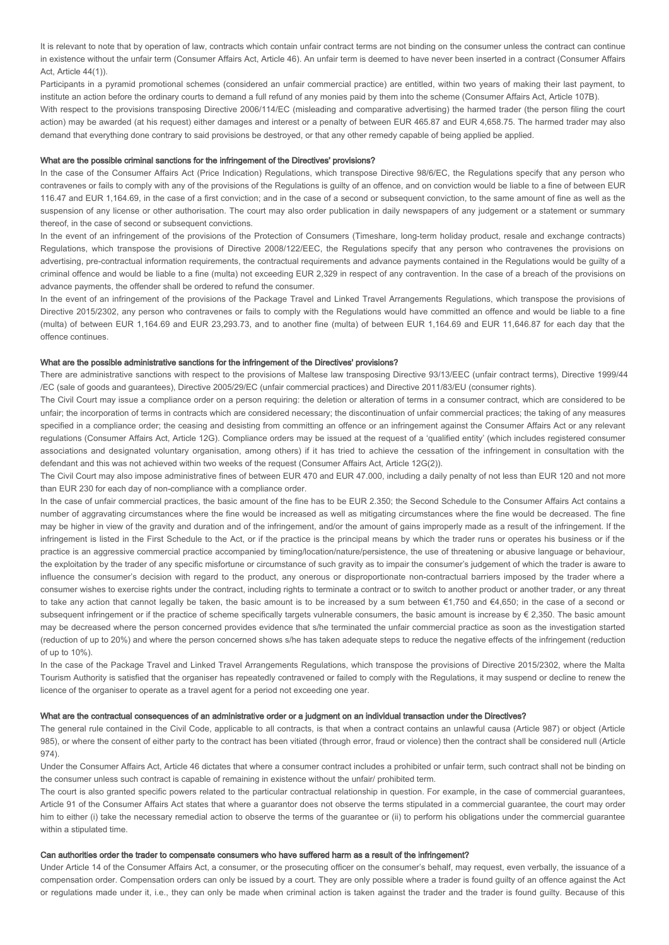It is relevant to note that by operation of law, contracts which contain unfair contract terms are not binding on the consumer unless the contract can continue in existence without the unfair term (Consumer Affairs Act, Article 46). An unfair term is deemed to have never been inserted in a contract (Consumer Affairs Act, Article 44(1)).

Participants in a pyramid promotional schemes (considered an unfair commercial practice) are entitled, within two years of making their last payment, to institute an action before the ordinary courts to demand a full refund of any monies paid by them into the scheme (Consumer Affairs Act, Article 107B).

With respect to the provisions transposing Directive 2006/114/EC (misleading and comparative advertising) the harmed trader (the person filing the court action) may be awarded (at his request) either damages and interest or a penalty of between EUR 465.87 and EUR 4,658.75. The harmed trader may also demand that everything done contrary to said provisions be destroyed, or that any other remedy capable of being applied be applied.

## What are the possible criminal sanctions for the infringement of the Directives' provisions?

In the case of the Consumer Affairs Act (Price Indication) Regulations, which transpose Directive 98/6/EC, the Regulations specify that any person who contravenes or fails to comply with any of the provisions of the Regulations is guilty of an offence, and on conviction would be liable to a fine of between EUR 116.47 and EUR 1,164.69, in the case of a first conviction; and in the case of a second or subsequent conviction, to the same amount of fine as well as the suspension of any license or other authorisation. The court may also order publication in daily newspapers of any judgement or a statement or summary thereof, in the case of second or subsequent convictions.

In the event of an infringement of the provisions of the Protection of Consumers (Timeshare, long-term holiday product, resale and exchange contracts) Regulations, which transpose the provisions of Directive 2008/122/EEC, the Regulations specify that any person who contravenes the provisions on advertising, pre-contractual information requirements, the contractual requirements and advance payments contained in the Regulations would be guilty of a criminal offence and would be liable to a fine (multa) not exceeding EUR 2,329 in respect of any contravention. In the case of a breach of the provisions on advance payments, the offender shall be ordered to refund the consumer.

In the event of an infringement of the provisions of the Package Travel and Linked Travel Arrangements Regulations, which transpose the provisions of Directive 2015/2302, any person who contravenes or fails to comply with the Regulations would have committed an offence and would be liable to a fine (multa) of between EUR 1,164.69 and EUR 23,293.73, and to another fine (multa) of between EUR 1,164.69 and EUR 11,646.87 for each day that the offence continues.

# What are the possible administrative sanctions for the infringement of the Directives' provisions?

There are administrative sanctions with respect to the provisions of Maltese law transposing Directive 93/13/EEC (unfair contract terms), Directive 1999/44 /EC (sale of goods and guarantees), Directive 2005/29/EC (unfair commercial practices) and Directive 2011/83/EU (consumer rights).

The Civil Court may issue a compliance order on a person requiring: the deletion or alteration of terms in a consumer contract, which are considered to be unfair; the incorporation of terms in contracts which are considered necessary; the discontinuation of unfair commercial practices; the taking of any measures specified in a compliance order; the ceasing and desisting from committing an offence or an infringement against the Consumer Affairs Act or any relevant regulations (Consumer Affairs Act, Article 12G). Compliance orders may be issued at the request of a 'qualified entity' (which includes registered consumer associations and designated voluntary organisation, among others) if it has tried to achieve the cessation of the infringement in consultation with the defendant and this was not achieved within two weeks of the request (Consumer Affairs Act, Article 12G(2)).

The Civil Court may also impose administrative fines of between EUR 470 and EUR 47.000, including a daily penalty of not less than EUR 120 and not more than EUR 230 for each day of non-compliance with a compliance order.

In the case of unfair commercial practices, the basic amount of the fine has to be EUR 2.350; the Second Schedule to the Consumer Affairs Act contains a number of aggravating circumstances where the fine would be increased as well as mitigating circumstances where the fine would be decreased. The fine may be higher in view of the gravity and duration and of the infringement, and/or the amount of gains improperly made as a result of the infringement. If the infringement is listed in the First Schedule to the Act, or if the practice is the principal means by which the trader runs or operates his business or if the practice is an aggressive commercial practice accompanied by timing/location/nature/persistence, the use of threatening or abusive language or behaviour, the exploitation by the trader of any specific misfortune or circumstance of such gravity as to impair the consumer's judgement of which the trader is aware to influence the consumer's decision with regard to the product, any onerous or disproportionate non-contractual barriers imposed by the trader where a consumer wishes to exercise rights under the contract, including rights to terminate a contract or to switch to another product or another trader, or any threat to take any action that cannot legally be taken, the basic amount is to be increased by a sum between €1,750 and €4,650; in the case of a second or subsequent infringement or if the practice of scheme specifically targets vulnerable consumers, the basic amount is increase by  $\epsilon$  2,350. The basic amount may be decreased where the person concerned provides evidence that s/he terminated the unfair commercial practice as soon as the investigation started (reduction of up to 20%) and where the person concerned shows s/he has taken adequate steps to reduce the negative effects of the infringement (reduction of up to 10%).

In the case of the Package Travel and Linked Travel Arrangements Regulations, which transpose the provisions of Directive 2015/2302, where the Malta Tourism Authority is satisfied that the organiser has repeatedly contravened or failed to comply with the Regulations, it may suspend or decline to renew the licence of the organiser to operate as a travel agent for a period not exceeding one year.

## What are the contractual consequences of an administrative order or a judgment on an individual transaction under the Directives?

The general rule contained in the Civil Code, applicable to all contracts, is that when a contract contains an unlawful causa (Article 987) or object (Article 985), or where the consent of either party to the contract has been vitiated (through error, fraud or violence) then the contract shall be considered null (Article 974).

Under the Consumer Affairs Act, Article 46 dictates that where a consumer contract includes a prohibited or unfair term, such contract shall not be binding on the consumer unless such contract is capable of remaining in existence without the unfair/ prohibited term.

The court is also granted specific powers related to the particular contractual relationship in question. For example, in the case of commercial quarantees, Article 91 of the Consumer Affairs Act states that where a guarantor does not observe the terms stipulated in a commercial guarantee, the court may order him to either (i) take the necessary remedial action to observe the terms of the guarantee or (ii) to perform his obligations under the commercial guarantee within a stipulated time.

## Can authorities order the trader to compensate consumers who have suffered harm as a result of the infringement?

Under Article 14 of the Consumer Affairs Act, a consumer, or the prosecuting officer on the consumer's behalf, may request, even verbally, the issuance of a compensation order. Compensation orders can only be issued by a court. They are only possible where a trader is found guilty of an offence against the Act or regulations made under it, i.e., they can only be made when criminal action is taken against the trader and the trader is found guilty. Because of this